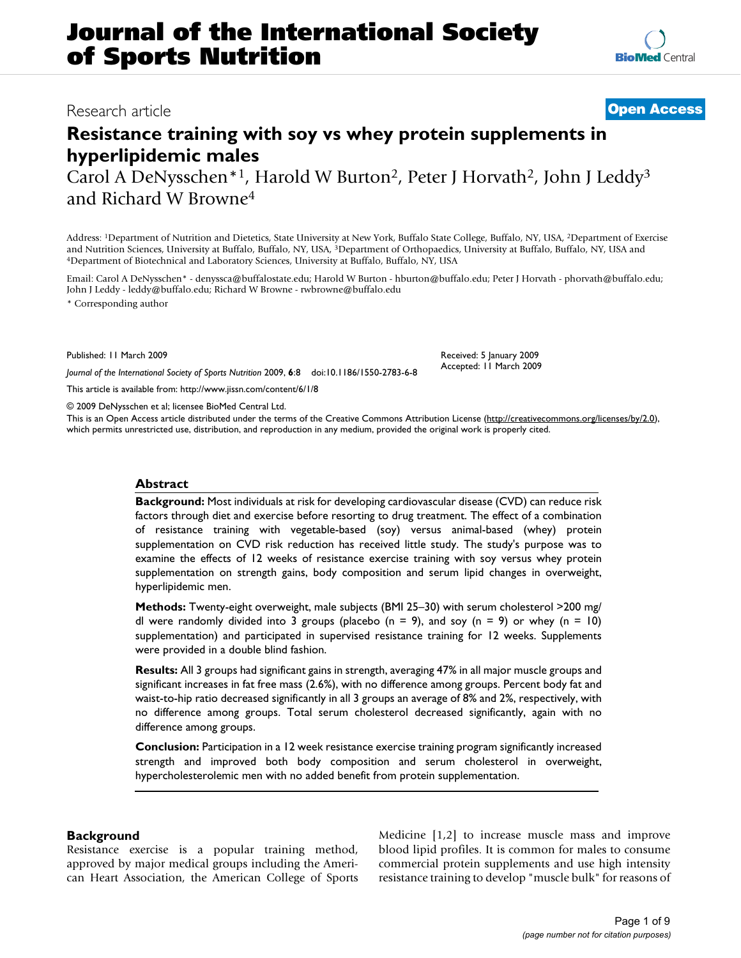# **Resistance training with soy vs whey protein supplements in hyperlipidemic males**

Carol A DeNysschen\*1, Harold W Burton<sup>2</sup>, Peter J Horvath<sup>2</sup>, John J Leddy<sup>3</sup> and Richard W Browne4

Address: 1Department of Nutrition and Dietetics, State University at New York, Buffalo State College, Buffalo, NY, USA, 2Department of Exercise and Nutrition Sciences, University at Buffalo, Buffalo, NY, USA, <sup>3</sup>Department of Orthopaedics, University at Buffalo, Buffalo, NY, USA and 4Department of Biotechnical and Laboratory Sciences, University at Buffalo, Buffal

Email: Carol A DeNysschen\* - denyssca@buffalostate.edu; Harold W Burton - hburton@buffalo.edu; Peter J Horvath - phorvath@buffalo.edu; John J Leddy - leddy@buffalo.edu; Richard W Browne - rwbrowne@buffalo.edu

\* Corresponding author

Published: 11 March 2009

*Journal of the International Society of Sports Nutrition* 2009, **6**:8 doi:10.1186/1550-2783-6-8

[This article is available from: http://www.jissn.com/content/6/1/8](http://www.jissn.com/content/6/1/8)

© 2009 DeNysschen et al; licensee BioMed Central Ltd.

This is an Open Access article distributed under the terms of the Creative Commons Attribution License [\(http://creativecommons.org/licenses/by/2.0\)](http://creativecommons.org/licenses/by/2.0), which permits unrestricted use, distribution, and reproduction in any medium, provided the original work is properly cited.

#### **Abstract**

**Background:** Most individuals at risk for developing cardiovascular disease (CVD) can reduce risk factors through diet and exercise before resorting to drug treatment. The effect of a combination of resistance training with vegetable-based (soy) versus animal-based (whey) protein supplementation on CVD risk reduction has received little study. The study's purpose was to examine the effects of 12 weeks of resistance exercise training with soy versus whey protein supplementation on strength gains, body composition and serum lipid changes in overweight, hyperlipidemic men.

**Methods:** Twenty-eight overweight, male subjects (BMI 25–30) with serum cholesterol >200 mg/ dl were randomly divided into 3 groups (placebo (n = 9), and soy (n = 9) or whey (n = 10) supplementation) and participated in supervised resistance training for 12 weeks. Supplements were provided in a double blind fashion.

**Results:** All 3 groups had significant gains in strength, averaging 47% in all major muscle groups and significant increases in fat free mass (2.6%), with no difference among groups. Percent body fat and waist-to-hip ratio decreased significantly in all 3 groups an average of 8% and 2%, respectively, with no difference among groups. Total serum cholesterol decreased significantly, again with no difference among groups.

**Conclusion:** Participation in a 12 week resistance exercise training program significantly increased strength and improved both body composition and serum cholesterol in overweight, hypercholesterolemic men with no added benefit from protein supplementation.

# **Background**

Resistance exercise is a popular training method, approved by major medical groups including the American Heart Association, the American College of Sports Medicine [1,2] to increase muscle mass and improve blood lipid profiles. It is common for males to consume commercial protein supplements and use high intensity resistance training to develop "muscle bulk" for reasons of



# Research article **[Open Access](http://www.biomedcentral.com/info/about/charter/)**

Accepted: 11 March 2009

Received: 5 January 2009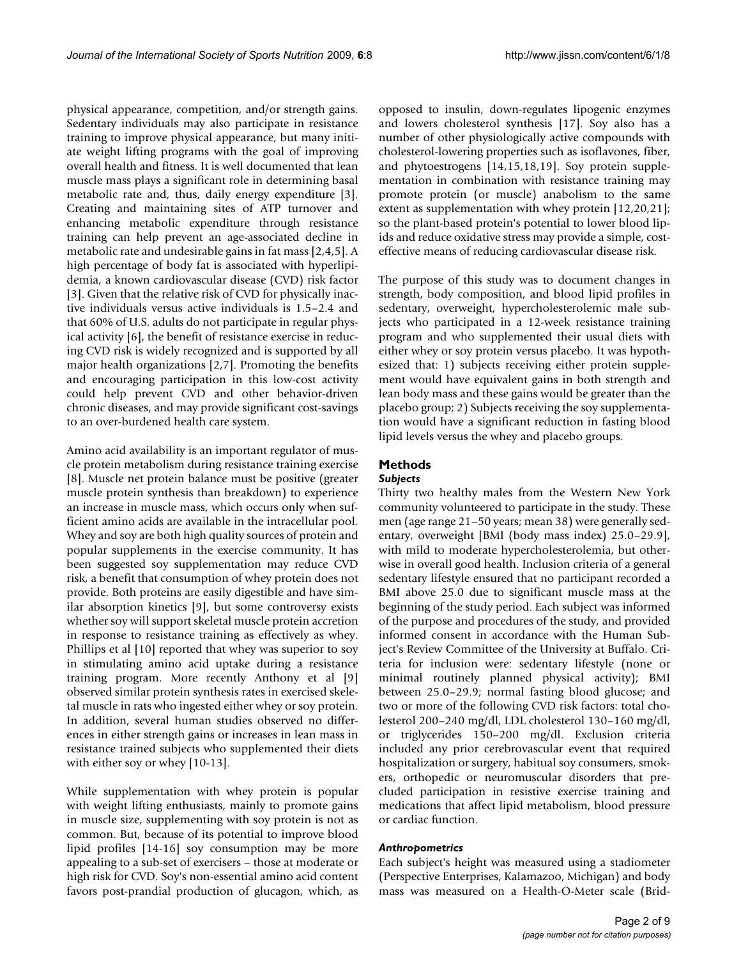physical appearance, competition, and/or strength gains. Sedentary individuals may also participate in resistance training to improve physical appearance, but many initiate weight lifting programs with the goal of improving overall health and fitness. It is well documented that lean muscle mass plays a significant role in determining basal metabolic rate and, thus, daily energy expenditure [3]. Creating and maintaining sites of ATP turnover and enhancing metabolic expenditure through resistance training can help prevent an age-associated decline in metabolic rate and undesirable gains in fat mass [2,4,5]. A high percentage of body fat is associated with hyperlipidemia, a known cardiovascular disease (CVD) risk factor [3]. Given that the relative risk of CVD for physically inactive individuals versus active individuals is 1.5–2.4 and that 60% of U.S. adults do not participate in regular physical activity [6], the benefit of resistance exercise in reducing CVD risk is widely recognized and is supported by all major health organizations [2,7]. Promoting the benefits and encouraging participation in this low-cost activity could help prevent CVD and other behavior-driven chronic diseases, and may provide significant cost-savings to an over-burdened health care system.

Amino acid availability is an important regulator of muscle protein metabolism during resistance training exercise [8]. Muscle net protein balance must be positive (greater muscle protein synthesis than breakdown) to experience an increase in muscle mass, which occurs only when sufficient amino acids are available in the intracellular pool. Whey and soy are both high quality sources of protein and popular supplements in the exercise community. It has been suggested soy supplementation may reduce CVD risk, a benefit that consumption of whey protein does not provide. Both proteins are easily digestible and have similar absorption kinetics [9], but some controversy exists whether soy will support skeletal muscle protein accretion in response to resistance training as effectively as whey. Phillips et al [10] reported that whey was superior to soy in stimulating amino acid uptake during a resistance training program. More recently Anthony et al [9] observed similar protein synthesis rates in exercised skeletal muscle in rats who ingested either whey or soy protein. In addition, several human studies observed no differences in either strength gains or increases in lean mass in resistance trained subjects who supplemented their diets with either soy or whey [10-13].

While supplementation with whey protein is popular with weight lifting enthusiasts, mainly to promote gains in muscle size, supplementing with soy protein is not as common. But, because of its potential to improve blood lipid profiles [14-16] soy consumption may be more appealing to a sub-set of exercisers – those at moderate or high risk for CVD. Soy's non-essential amino acid content favors post-prandial production of glucagon, which, as opposed to insulin, down-regulates lipogenic enzymes and lowers cholesterol synthesis [17]. Soy also has a number of other physiologically active compounds with cholesterol-lowering properties such as isoflavones, fiber, and phytoestrogens [14,15,18,19]. Soy protein supplementation in combination with resistance training may promote protein (or muscle) anabolism to the same extent as supplementation with whey protein [12,20,21]; so the plant-based protein's potential to lower blood lipids and reduce oxidative stress may provide a simple, costeffective means of reducing cardiovascular disease risk.

The purpose of this study was to document changes in strength, body composition, and blood lipid profiles in sedentary, overweight, hypercholesterolemic male subjects who participated in a 12-week resistance training program and who supplemented their usual diets with either whey or soy protein versus placebo. It was hypothesized that: 1) subjects receiving either protein supplement would have equivalent gains in both strength and lean body mass and these gains would be greater than the placebo group; 2) Subjects receiving the soy supplementation would have a significant reduction in fasting blood lipid levels versus the whey and placebo groups.

# **Methods**

# *Subjects*

Thirty two healthy males from the Western New York community volunteered to participate in the study. These men (age range 21–50 years; mean 38) were generally sedentary, overweight [BMI (body mass index) 25.0–29.9], with mild to moderate hypercholesterolemia, but otherwise in overall good health. Inclusion criteria of a general sedentary lifestyle ensured that no participant recorded a BMI above 25.0 due to significant muscle mass at the beginning of the study period. Each subject was informed of the purpose and procedures of the study, and provided informed consent in accordance with the Human Subject's Review Committee of the University at Buffalo. Criteria for inclusion were: sedentary lifestyle (none or minimal routinely planned physical activity); BMI between 25.0–29.9; normal fasting blood glucose; and two or more of the following CVD risk factors: total cholesterol 200–240 mg/dl, LDL cholesterol 130–160 mg/dl, or triglycerides 150–200 mg/dl. Exclusion criteria included any prior cerebrovascular event that required hospitalization or surgery, habitual soy consumers, smokers, orthopedic or neuromuscular disorders that precluded participation in resistive exercise training and medications that affect lipid metabolism, blood pressure or cardiac function.

# *Anthropometrics*

Each subject's height was measured using a stadiometer (Perspective Enterprises, Kalamazoo, Michigan) and body mass was measured on a Health-O-Meter scale (Brid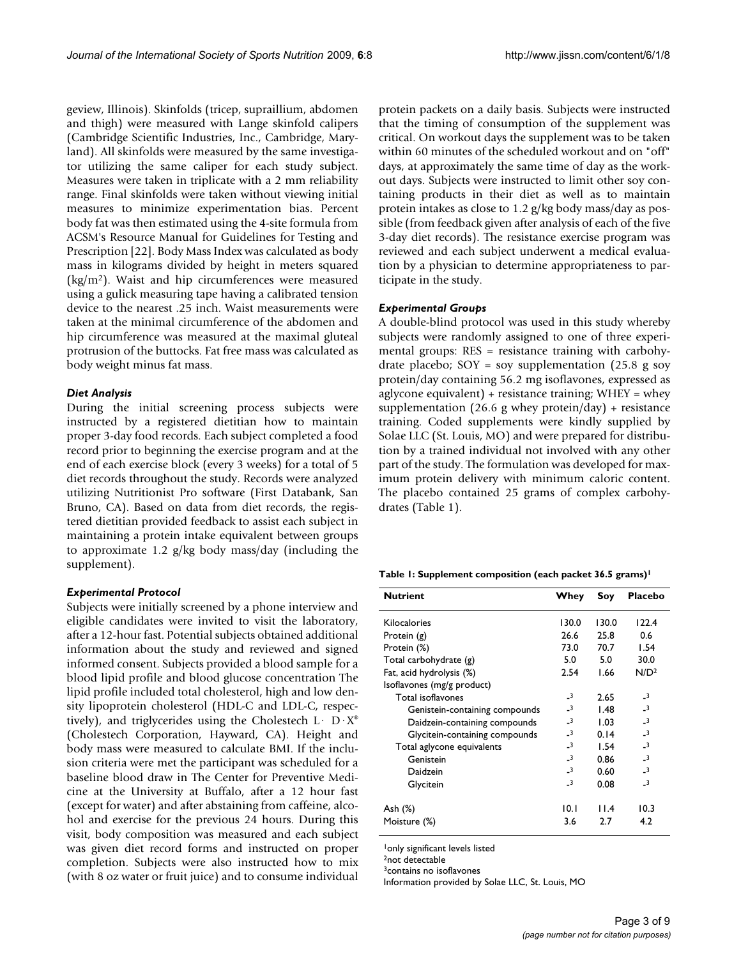geview, Illinois). Skinfolds (tricep, supraillium, abdomen and thigh) were measured with Lange skinfold calipers (Cambridge Scientific Industries, Inc., Cambridge, Maryland). All skinfolds were measured by the same investigator utilizing the same caliper for each study subject. Measures were taken in triplicate with a 2 mm reliability range. Final skinfolds were taken without viewing initial measures to minimize experimentation bias. Percent body fat was then estimated using the 4-site formula from ACSM's Resource Manual for Guidelines for Testing and Prescription [22]. Body Mass Index was calculated as body mass in kilograms divided by height in meters squared (kg/m2). Waist and hip circumferences were measured using a gulick measuring tape having a calibrated tension device to the nearest .25 inch. Waist measurements were taken at the minimal circumference of the abdomen and hip circumference was measured at the maximal gluteal protrusion of the buttocks. Fat free mass was calculated as body weight minus fat mass.

#### *Diet Analysis*

During the initial screening process subjects were instructed by a registered dietitian how to maintain proper 3-day food records. Each subject completed a food record prior to beginning the exercise program and at the end of each exercise block (every 3 weeks) for a total of 5 diet records throughout the study. Records were analyzed utilizing Nutritionist Pro software (First Databank, San Bruno, CA). Based on data from diet records, the registered dietitian provided feedback to assist each subject in maintaining a protein intake equivalent between groups to approximate 1.2 g/kg body mass/day (including the supplement).

#### *Experimental Protocol*

Subjects were initially screened by a phone interview and eligible candidates were invited to visit the laboratory, after a 12-hour fast. Potential subjects obtained additional information about the study and reviewed and signed informed consent. Subjects provided a blood sample for a blood lipid profile and blood glucose concentration The lipid profile included total cholesterol, high and low density lipoprotein cholesterol (HDL-C and LDL-C, respectively), and triglycerides using the Cholestech  $L \cdot D \cdot X^*$ (Cholestech Corporation, Hayward, CA). Height and body mass were measured to calculate BMI. If the inclusion criteria were met the participant was scheduled for a baseline blood draw in The Center for Preventive Medicine at the University at Buffalo, after a 12 hour fast (except for water) and after abstaining from caffeine, alcohol and exercise for the previous 24 hours. During this visit, body composition was measured and each subject was given diet record forms and instructed on proper completion. Subjects were also instructed how to mix (with 8 oz water or fruit juice) and to consume individual

protein packets on a daily basis. Subjects were instructed that the timing of consumption of the supplement was critical. On workout days the supplement was to be taken within 60 minutes of the scheduled workout and on "off" days, at approximately the same time of day as the workout days. Subjects were instructed to limit other soy containing products in their diet as well as to maintain protein intakes as close to 1.2 g/kg body mass/day as possible (from feedback given after analysis of each of the five 3-day diet records). The resistance exercise program was reviewed and each subject underwent a medical evaluation by a physician to determine appropriateness to participate in the study.

#### *Experimental Groups*

A double-blind protocol was used in this study whereby subjects were randomly assigned to one of three experimental groups: RES = resistance training with carbohydrate placebo;  $SOY = soy$  supplementation (25.8 g soy protein/day containing 56.2 mg isoflavones, expressed as aglycone equivalent) + resistance training; WHEY = whey supplementation (26.6 g whey protein/day) + resistance training. Coded supplements were kindly supplied by Solae LLC (St. Louis, MO) and were prepared for distribution by a trained individual not involved with any other part of the study. The formulation was developed for maximum protein delivery with minimum caloric content. The placebo contained 25 grams of complex carbohydrates (Table 1).

**Table 1: Supplement composition (each packet 36.5 grams)1**

| <b>Nutrient</b>                | Whey                     | Soy   | <b>Placebo</b>          |
|--------------------------------|--------------------------|-------|-------------------------|
| Kilocalories                   | 130.0                    | 130.0 | 122.4                   |
| Protein (g)                    | 26.6                     | 25.8  | 0.6                     |
| Protein (%)                    | 73.0                     | 70.7  | 1.54                    |
| Total carbohydrate (g)         | 5.0                      | 5.0   | 30.0                    |
| Fat, acid hydrolysis (%)       | 2.54                     | 1.66  | N/D <sup>2</sup>        |
| Isoflavones (mg/g product)     |                          |       |                         |
| Total isoflavones              | $\overline{\mathbf{3}}$  | 2.65  | $\overline{\mathbf{3}}$ |
| Genistein-containing compounds | $-3$                     | 1.48  | $-3$                    |
| Daidzein-containing compounds  | $\overline{\mathbf{3}}$  | 1.03  | $-3$                    |
| Glycitein-containing compounds | $\overline{\phantom{0}}$ | 0.14  | $\overline{\mathbf{3}}$ |
| Total aglycone equivalents     | $-3$                     | 1.54  | $\overline{\mathbf{3}}$ |
| Genistein                      | $\overline{\mathbf{3}}$  | 0.86  | $\overline{\mathbf{3}}$ |
| Daidzein                       | $\overline{3}$           | 0.60  | $\overline{\mathbf{3}}$ |
| Glycitein                      | $-3$                     | 0.08  | $-3$                    |
| Ash (%)                        | 10. I                    | 11.4  | 10.3                    |
| Moisture (%)                   | 3.6                      | 2.7   | 4.2                     |

1only significant levels listed

2not detectable

3contains no isoflavones

Information provided by Solae LLC, St. Louis, MO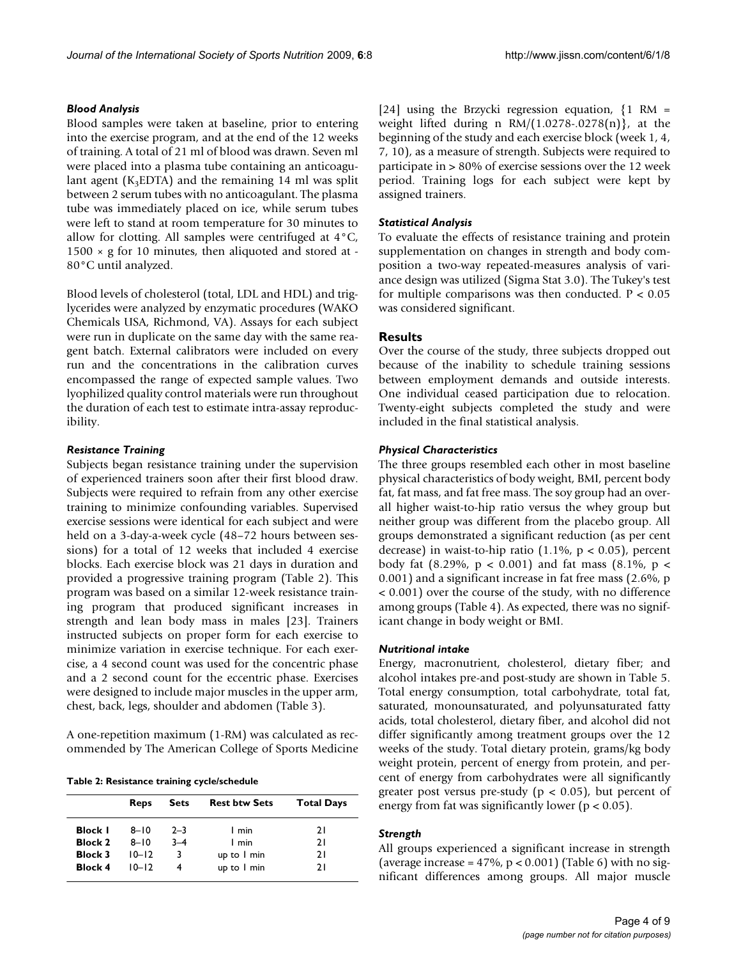#### *Blood Analysis*

Blood samples were taken at baseline, prior to entering into the exercise program, and at the end of the 12 weeks of training. A total of 21 ml of blood was drawn. Seven ml were placed into a plasma tube containing an anticoagulant agent ( $K_3EDTA$ ) and the remaining 14 ml was split between 2 serum tubes with no anticoagulant. The plasma tube was immediately placed on ice, while serum tubes were left to stand at room temperature for 30 minutes to allow for clotting. All samples were centrifuged at 4°C,  $1500 \times g$  for 10 minutes, then aliquoted and stored at -80°C until analyzed.

Blood levels of cholesterol (total, LDL and HDL) and triglycerides were analyzed by enzymatic procedures (WAKO Chemicals USA, Richmond, VA). Assays for each subject were run in duplicate on the same day with the same reagent batch. External calibrators were included on every run and the concentrations in the calibration curves encompassed the range of expected sample values. Two lyophilized quality control materials were run throughout the duration of each test to estimate intra-assay reproducibility.

#### *Resistance Training*

Subjects began resistance training under the supervision of experienced trainers soon after their first blood draw. Subjects were required to refrain from any other exercise training to minimize confounding variables. Supervised exercise sessions were identical for each subject and were held on a 3-day-a-week cycle (48–72 hours between sessions) for a total of 12 weeks that included 4 exercise blocks. Each exercise block was 21 days in duration and provided a progressive training program (Table 2). This program was based on a similar 12-week resistance training program that produced significant increases in strength and lean body mass in males [23]. Trainers instructed subjects on proper form for each exercise to minimize variation in exercise technique. For each exercise, a 4 second count was used for the concentric phase and a 2 second count for the eccentric phase. Exercises were designed to include major muscles in the upper arm, chest, back, legs, shoulder and abdomen (Table 3).

A one-repetition maximum (1-RM) was calculated as recommended by The American College of Sports Medicine

**Table 2: Resistance training cycle/schedule**

|                | Reps      | <b>Sets</b> | <b>Rest btw Sets</b> | <b>Total Days</b> |
|----------------|-----------|-------------|----------------------|-------------------|
| <b>Block I</b> | $8 - 10$  | $2 - 3$     | 1 min                | 21                |
| <b>Block 2</b> | $8 - 10$  | $3 - 4$     | 1 min                | 21                |
| <b>Block 3</b> | $10 - 12$ | 3           | up to 1 min          | 21                |
| <b>Block 4</b> | $10 - 12$ | 4           | up to 1 min          | 21                |

[24] using the Brzycki regression equation,  $\{1 \text{ RM} =$ weight lifted during n  $RM/(1.0278-0.0278(n))$ , at the beginning of the study and each exercise block (week 1, 4, 7, 10), as a measure of strength. Subjects were required to participate in > 80% of exercise sessions over the 12 week period. Training logs for each subject were kept by assigned trainers.

#### *Statistical Analysis*

To evaluate the effects of resistance training and protein supplementation on changes in strength and body composition a two-way repeated-measures analysis of variance design was utilized (Sigma Stat 3.0). The Tukey's test for multiple comparisons was then conducted.  $P < 0.05$ was considered significant.

#### **Results**

Over the course of the study, three subjects dropped out because of the inability to schedule training sessions between employment demands and outside interests. One individual ceased participation due to relocation. Twenty-eight subjects completed the study and were included in the final statistical analysis.

#### *Physical Characteristics*

The three groups resembled each other in most baseline physical characteristics of body weight, BMI, percent body fat, fat mass, and fat free mass. The soy group had an overall higher waist-to-hip ratio versus the whey group but neither group was different from the placebo group. All groups demonstrated a significant reduction (as per cent decrease) in waist-to-hip ratio  $(1.1\%, p < 0.05)$ , percent body fat (8.29%,  $p < 0.001$ ) and fat mass (8.1%,  $p <$ 0.001) and a significant increase in fat free mass (2.6%, p < 0.001) over the course of the study, with no difference among groups (Table 4). As expected, there was no significant change in body weight or BMI.

#### *Nutritional intake*

Energy, macronutrient, cholesterol, dietary fiber; and alcohol intakes pre-and post-study are shown in Table 5. Total energy consumption, total carbohydrate, total fat, saturated, monounsaturated, and polyunsaturated fatty acids, total cholesterol, dietary fiber, and alcohol did not differ significantly among treatment groups over the 12 weeks of the study. Total dietary protein, grams/kg body weight protein, percent of energy from protein, and percent of energy from carbohydrates were all significantly greater post versus pre-study ( $p < 0.05$ ), but percent of energy from fat was significantly lower ( $p < 0.05$ ).

#### *Strength*

All groups experienced a significant increase in strength (average increase =  $47\%$ ,  $p < 0.001$ ) (Table 6) with no significant differences among groups. All major muscle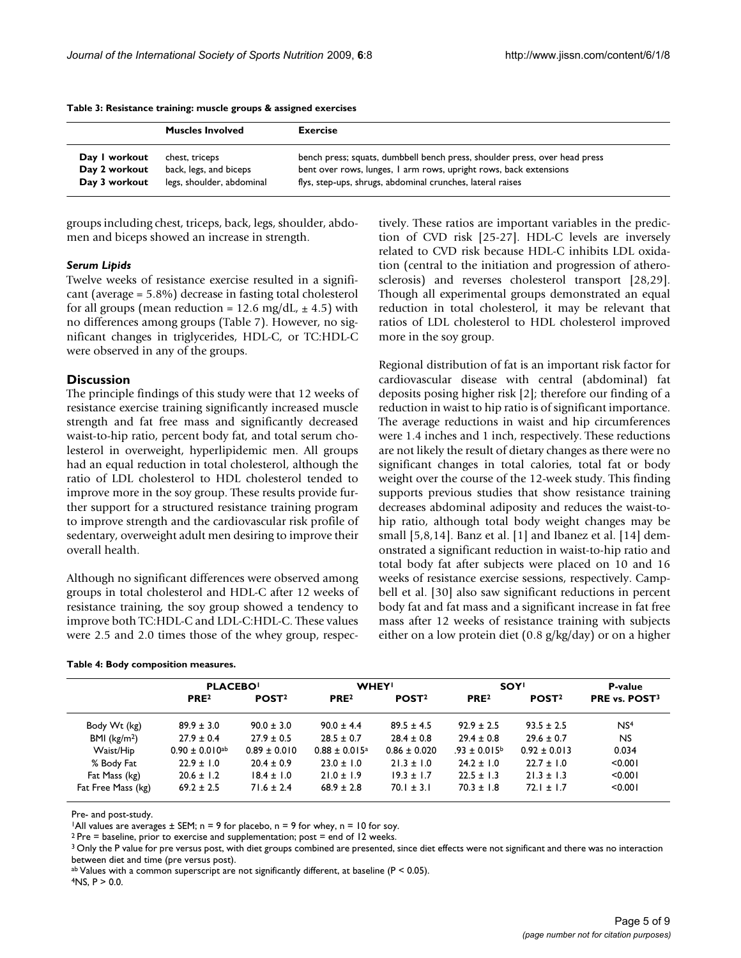|               | <b>Muscles Involved</b>   | <b>Exercise</b>                                                            |
|---------------|---------------------------|----------------------------------------------------------------------------|
| Day I workout | chest, triceps            | bench press; squats, dumbbell bench press, shoulder press, over head press |
| Day 2 workout | back, legs, and biceps    | bent over rows, lunges, I arm rows, upright rows, back extensions          |
| Day 3 workout | legs, shoulder, abdominal | flys, step-ups, shrugs, abdominal crunches, lateral raises                 |

**Table 3: Resistance training: muscle groups & assigned exercises**

groups including chest, triceps, back, legs, shoulder, abdomen and biceps showed an increase in strength.

#### *Serum Lipids*

Twelve weeks of resistance exercise resulted in a significant (average = 5.8%) decrease in fasting total cholesterol for all groups (mean reduction = 12.6 mg/dL,  $\pm$  4.5) with no differences among groups (Table 7). However, no significant changes in triglycerides, HDL-C, or TC:HDL-C were observed in any of the groups.

#### **Discussion**

The principle findings of this study were that 12 weeks of resistance exercise training significantly increased muscle strength and fat free mass and significantly decreased waist-to-hip ratio, percent body fat, and total serum cholesterol in overweight, hyperlipidemic men. All groups had an equal reduction in total cholesterol, although the ratio of LDL cholesterol to HDL cholesterol tended to improve more in the soy group. These results provide further support for a structured resistance training program to improve strength and the cardiovascular risk profile of sedentary, overweight adult men desiring to improve their overall health.

Although no significant differences were observed among groups in total cholesterol and HDL-C after 12 weeks of resistance training, the soy group showed a tendency to improve both TC:HDL-C and LDL-C:HDL-C. These values were 2.5 and 2.0 times those of the whey group, respec-

|  |  |  | Table 4: Body composition measures. |  |
|--|--|--|-------------------------------------|--|
|--|--|--|-------------------------------------|--|

tively. These ratios are important variables in the prediction of CVD risk [25-27]. HDL-C levels are inversely related to CVD risk because HDL-C inhibits LDL oxidation (central to the initiation and progression of atherosclerosis) and reverses cholesterol transport [28,29]. Though all experimental groups demonstrated an equal reduction in total cholesterol, it may be relevant that ratios of LDL cholesterol to HDL cholesterol improved more in the soy group.

Regional distribution of fat is an important risk factor for cardiovascular disease with central (abdominal) fat deposits posing higher risk [2]; therefore our finding of a reduction in waist to hip ratio is of significant importance. The average reductions in waist and hip circumferences were 1.4 inches and 1 inch, respectively. These reductions are not likely the result of dietary changes as there were no significant changes in total calories, total fat or body weight over the course of the 12-week study. This finding supports previous studies that show resistance training decreases abdominal adiposity and reduces the waist-tohip ratio, although total body weight changes may be small [5,8,14]. Banz et al. [1] and Ibanez et al. [14] demonstrated a significant reduction in waist-to-hip ratio and total body fat after subjects were placed on 10 and 16 weeks of resistance exercise sessions, respectively. Campbell et al. [30] also saw significant reductions in percent body fat and fat mass and a significant increase in fat free mass after 12 weeks of resistance training with subjects either on a low protein diet (0.8 g/kg/day) or on a higher

|                    | <b>PLACEBO</b>                 |                   |                               | <b>WHEY!</b>      |                         | <b>SOY!</b>       |                           |  |
|--------------------|--------------------------------|-------------------|-------------------------------|-------------------|-------------------------|-------------------|---------------------------|--|
|                    | PRE <sup>2</sup>               | POST <sub>2</sub> | PRE <sup>2</sup>              | POST <sub>2</sub> | PRE <sub>2</sub>        | POST <sub>2</sub> | PRE vs. POST <sup>3</sup> |  |
| Body Wt (kg)       | $89.9 \pm 3.0$                 | $90.0 \pm 3.0$    | $90.0 \pm 4.4$                | $89.5 \pm 4.5$    | $92.9 \pm 2.5$          | $93.5 \pm 2.5$    | NS <sup>4</sup>           |  |
| BMI $(kg/m2)$      | $27.9 \pm 0.4$                 | $27.9 \pm 0.5$    | $28.5 \pm 0.7$                | $28.4 \pm 0.8$    | $29.4 \pm 0.8$          | $29.6 \pm 0.7$    | NS.                       |  |
| Waist/Hip          | $0.90 \pm 0.010$ <sup>ab</sup> | $0.89 \pm 0.010$  | $0.88 \pm 0.015$ <sup>a</sup> | $0.86 \pm 0.020$  | $.93 \pm 0.015^{\circ}$ | $0.92 \pm 0.013$  | 0.034                     |  |
| % Body Fat         | $22.9 \pm 1.0$                 | $20.4 \pm 0.9$    | $23.0 \pm 1.0$                | $21.3 \pm 1.0$    | $24.2 \pm 1.0$          | $22.7 \pm 1.0$    | < 0.001                   |  |
| Fat Mass (kg)      | $20.6 \pm 1.2$                 | $18.4 \pm 1.0$    | $21.0 \pm 1.9$                | $19.3 \pm 1.7$    | $22.5 \pm 1.3$          | $21.3 \pm 1.3$    | < 0.001                   |  |
| Fat Free Mass (kg) | $69.2 \pm 2.5$                 | $71.6 \pm 2.4$    | $68.9 \pm 2.8$                | $70.1 \pm 3.1$    | $70.3 \pm 1.8$          | $72.1 \pm 1.7$    | < 0.001                   |  |

Pre- and post-study.

<sup>1</sup>All values are averages  $\pm$  SEM; n = 9 for placebo, n = 9 for whey, n = 10 for soy.

 $2$  Pre = baseline, prior to exercise and supplementation; post = end of 12 weeks.

<sup>3</sup> Only the P value for pre versus post, with diet groups combined are presented, since diet effects were not significant and there was no interaction between diet and time (pre versus post).

 $a<sup>b</sup>$  Values with a common superscript are not significantly different, at baseline (P < 0.05).

 $4NS$ ,  $P > 0.0$ .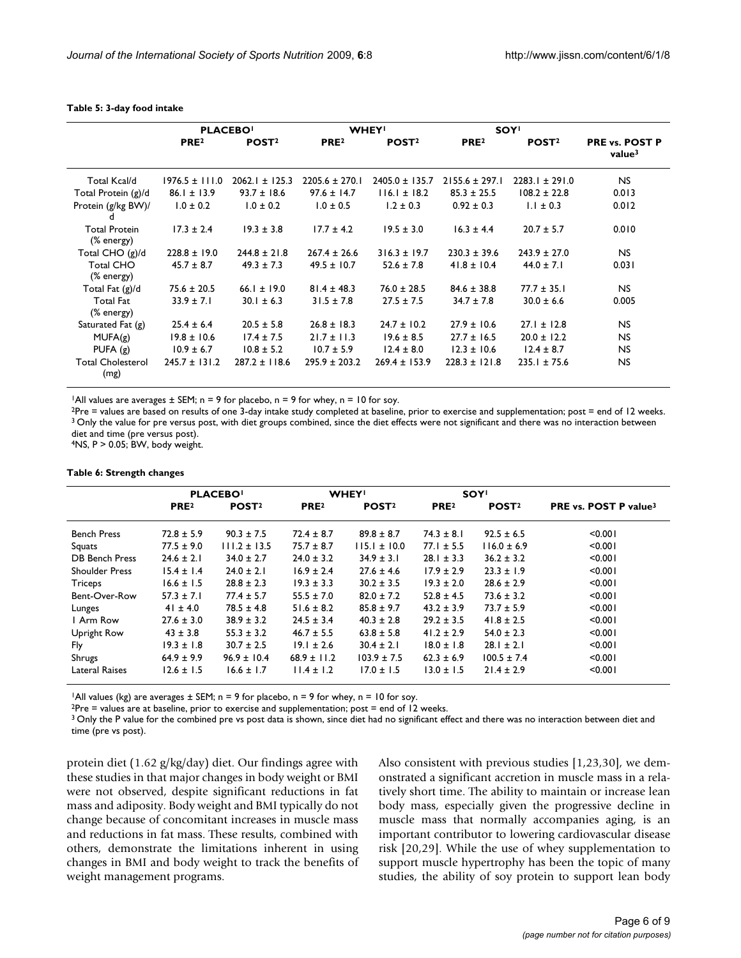|                                    | <b>PLACEBO</b>     |                    |                    | <b>WHEY!</b>       | <b>SOY!</b>        |                    |                                             |
|------------------------------------|--------------------|--------------------|--------------------|--------------------|--------------------|--------------------|---------------------------------------------|
|                                    | PRE <sup>2</sup>   | POST <sup>2</sup>  | PRE <sup>2</sup>   | POST <sup>2</sup>  | PRE <sup>2</sup>   | POST <sup>2</sup>  | <b>PRE vs. POST P</b><br>value <sup>3</sup> |
| Total Kcal/d                       | $1976.5 \pm 111.0$ | $2062.1 \pm 125.3$ | $2205.6 \pm 270.1$ | $2405.0 \pm 135.7$ | $2155.6 \pm 297.1$ | $2283.1 \pm 291.0$ | <b>NS</b>                                   |
| Total Protein (g)/d                | $86.1 \pm 13.9$    | $93.7 \pm 18.6$    | $97.6 \pm 14.7$    | $116.1 \pm 18.2$   | $85.3 \pm 25.5$    | $108.2 \pm 22.8$   | 0.013                                       |
| Protein (g/kg BW)/<br>d            | $1.0 \pm 0.2$      | $1.0 \pm 0.2$      | $1.0 \pm 0.5$      | $1.2 \pm 0.3$      | $0.92 \pm 0.3$     | $1.1 \pm 0.3$      | 0.012                                       |
| <b>Total Protein</b><br>(% energy) | $17.3 \pm 2.4$     | $19.3 \pm 3.8$     | $17.7 \pm 4.2$     | $19.5 \pm 3.0$     | $16.3 \pm 4.4$     | $20.7 \pm 5.7$     | 0.010                                       |
| Total CHO (g)/d                    | $228.8 \pm 19.0$   | $244.8 \pm 21.8$   | $267.4 \pm 26.6$   | $316.3 \pm 19.7$   | $230.3 \pm 39.6$   | $243.9 \pm 27.0$   | NS.                                         |
| <b>Total CHO</b><br>(% energy)     | $45.7 \pm 8.7$     | $49.3 \pm 7.3$     | $49.5 \pm 10.7$    | $52.6 \pm 7.8$     | $41.8 \pm 10.4$    | $44.0 \pm 7.1$     | 0.031                                       |
| Total Fat (g)/d                    | $75.6 \pm 20.5$    | 66.1 ± 19.0        | $81.4 \pm 48.3$    | $76.0 \pm 28.5$    | $84.6 \pm 38.8$    | $77.7 \pm 35.1$    | NS.                                         |
| <b>Total Fat</b><br>(% energy)     | $33.9 \pm 7.1$     | $30.1 \pm 6.3$     | $31.5 \pm 7.8$     | $27.5 \pm 7.5$     | $34.7 \pm 7.8$     | $30.0 \pm 6.6$     | 0.005                                       |
| Saturated Fat $(g)$                | $25.4 \pm 6.4$     | $20.5 \pm 5.8$     | $26.8 \pm 18.3$    | $24.7 \pm 10.2$    | $27.9 \pm 10.6$    | $27.1 \pm 12.8$    | <b>NS</b>                                   |
| MUFA(g)                            | $19.8 \pm 10.6$    | $17.4 \pm 7.5$     | $21.7 \pm 11.3$    | $19.6 \pm 8.5$     | $27.7 \pm 16.5$    | $20.0 \pm 12.2$    | <b>NS</b>                                   |
| PUFA $(g)$                         | $10.9 \pm 6.7$     | $10.8 \pm 5.2$     | $10.7 \pm 5.9$     | $12.4 \pm 8.0$     | $12.3 \pm 10.6$    | $12.4 \pm 8.7$     | <b>NS</b>                                   |
| <b>Total Cholesterol</b><br>(mg)   | $245.7 \pm 131.2$  | $287.2 \pm 118.6$  | $295.9 \pm 203.2$  | $269.4 \pm 153.9$  | $228.3 \pm 121.8$  | $235.1 \pm 75.6$   | <b>NS</b>                                   |

#### **Table 5: 3-day food intake**

<sup>1</sup>All values are averages  $\pm$  SEM; n = 9 for placebo, n = 9 for whey, n = 10 for soy.

 $2$ Pre = values are based on results of one 3-day intake study completed at baseline, prior to exercise and supplementation; post = end of 12 weeks. <sup>3</sup> Only the value for pre versus post, with diet groups combined, since the diet effects were not significant and there was no interaction between diet and time (pre versus post).

 $4NS$ ,  $P > 0.05$ ; BW, body weight.

#### **Table 6: Strength changes**

|                       | <b>PLACEBO</b>   |                   | <b>WHEY!</b>     |                   | <b>SOY!</b>      |                   |                                   |  |
|-----------------------|------------------|-------------------|------------------|-------------------|------------------|-------------------|-----------------------------------|--|
|                       | PRE <sup>2</sup> | POST <sup>2</sup> | PRE <sup>2</sup> | POST <sup>2</sup> | PRE <sup>2</sup> | POST <sup>2</sup> | PRE vs. POST P value <sup>3</sup> |  |
| <b>Bench Press</b>    | $72.8 \pm 5.9$   | $90.3 \pm 7.5$    | $72.4 \pm 8.7$   | $89.8 \pm 8.7$    | $74.3 \pm 8.1$   | $92.5 \pm 6.5$    | < 0.001                           |  |
| Squats                | $77.5 \pm 9.0$   | $111.2 \pm 13.5$  | $75.7 \pm 8.7$   | $115.1 \pm 10.0$  | $77.1 \pm 5.5$   | $116.0 \pm 6.9$   | < 0.001                           |  |
| <b>DB Bench Press</b> | $24.6 \pm 2.1$   | $34.0 \pm 2.7$    | $24.0 \pm 3.2$   | $34.9 \pm 3.1$    | $28.1 \pm 3.3$   | $36.2 \pm 3.2$    | < 0.001                           |  |
| <b>Shoulder Press</b> | $15.4 \pm 1.4$   | $24.0 \pm 2.1$    | $16.9 \pm 2.4$   | $27.6 \pm 4.6$    | $17.9 \pm 2.9$   | $23.3 \pm 1.9$    | < 0.001                           |  |
| Triceps               | $16.6 \pm 1.5$   | $28.8 \pm 2.3$    | $19.3 \pm 3.3$   | $30.2 \pm 3.5$    | $19.3 \pm 2.0$   | $28.6 \pm 2.9$    | < 0.001                           |  |
| Bent-Over-Row         | $57.3 \pm 7.1$   | $77.4 \pm 5.7$    | $55.5 \pm 7.0$   | $82.0 \pm 7.2$    | $52.8 \pm 4.5$   | $73.6 \pm 3.2$    | < 0.001                           |  |
| Lunges                | $41 \pm 4.0$     | $78.5 \pm 4.8$    | $51.6 \pm 8.2$   | $85.8 \pm 9.7$    | $43.2 \pm 3.9$   | $73.7 \pm 5.9$    | < 0.001                           |  |
| I Arm Row             | $27.6 \pm 3.0$   | $38.9 \pm 3.2$    | $24.5 \pm 3.4$   | $40.3 \pm 2.8$    | $29.2 \pm 3.5$   | $41.8 \pm 2.5$    | < 0.001                           |  |
| Upright Row           | $43 \pm 3.8$     | $55.3 \pm 3.2$    | $46.7 \pm 5.5$   | $63.8 \pm 5.8$    | $41.2 \pm 2.9$   | $54.0 \pm 2.3$    | < 0.001                           |  |
| Fly                   | $19.3 \pm 1.8$   | $30.7 \pm 2.5$    | $19.1 \pm 2.6$   | $30.4 \pm 2.1$    | $18.0 \pm 1.8$   | $28.1 \pm 2.1$    | < 0.001                           |  |
| Shrugs                | $64.9 \pm 9.9$   | $96.9 \pm 10.4$   | $68.9 \pm 11.2$  | $103.9 \pm 7.5$   | $62.3 \pm 6.9$   | $100.5 \pm 7.4$   | < 0.001                           |  |
| Lateral Raises        | $12.6 \pm 1.5$   | $16.6 \pm 1.7$    | $11.4 \pm 1.2$   | $17.0 \pm 1.5$    | $13.0 \pm 1.5$   | $21.4 \pm 2.9$    | < 0.001                           |  |

<sup>1</sup>All values (kg) are averages  $\pm$  SEM; n = 9 for placebo, n = 9 for whey, n = 10 for soy.

 $2$ Pre = values are at baseline, prior to exercise and supplementation; post = end of 12 weeks.

<sup>3</sup> Only the P value for the combined pre vs post data is shown, since diet had no significant effect and there was no interaction between diet and time (pre vs post).

protein diet (1.62 g/kg/day) diet. Our findings agree with these studies in that major changes in body weight or BMI were not observed, despite significant reductions in fat mass and adiposity. Body weight and BMI typically do not change because of concomitant increases in muscle mass and reductions in fat mass. These results, combined with others, demonstrate the limitations inherent in using changes in BMI and body weight to track the benefits of weight management programs.

Also consistent with previous studies [1,23,30], we demonstrated a significant accretion in muscle mass in a relatively short time. The ability to maintain or increase lean body mass, especially given the progressive decline in muscle mass that normally accompanies aging, is an important contributor to lowering cardiovascular disease risk [20,29]. While the use of whey supplementation to support muscle hypertrophy has been the topic of many studies, the ability of soy protein to support lean body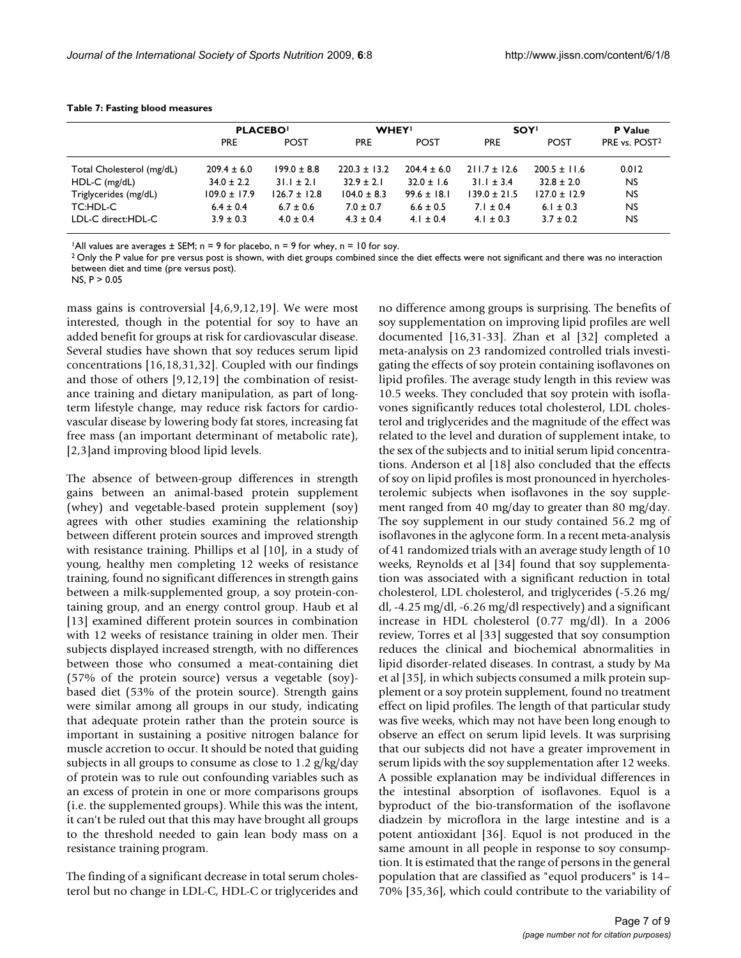|                                          | <b>PLACEBO!</b>                   |                  | <b>WHEY!</b>     |                                   | <b>SOY!</b>      |                  | P Value                   |
|------------------------------------------|-----------------------------------|------------------|------------------|-----------------------------------|------------------|------------------|---------------------------|
|                                          | PRE.                              | <b>POST</b>      | <b>PRE</b>       | <b>POST</b>                       | <b>PRE</b>       | <b>POST</b>      | PRE vs. POST <sup>2</sup> |
|                                          |                                   | $199.0 \pm 8.8$  | $220.3 \pm 13.2$ |                                   | $211.7 \pm 12.6$ | $200.5 \pm 11.6$ |                           |
| Total Cholesterol (mg/dL)                | $209.4 \pm 6.0$<br>$34.0 \pm 2.2$ | $31.1 \pm 2.1$   | $32.9 \pm 2.1$   | $204.4 \pm 6.0$<br>$32.0 \pm 1.6$ | $31.1 \pm 3.4$   | $32.8 \pm 2.0$   | 0.012<br><b>NS</b>        |
| $HDL-C$ (mg/dL)<br>Triglycerides (mg/dL) | $109.0 \pm 17.9$                  | $126.7 \pm 12.8$ | $104.0 \pm 8.3$  | $99.6 \pm 18.1$                   | $139.0 \pm 21.5$ | $127.0 \pm 12.9$ | <b>NS</b>                 |
| TC:HDL-C                                 | $6.4 \pm 0.4$                     | $6.7 \pm 0.6$    | $7.0 \pm 0.7$    | $6.6 \pm 0.5$                     | $7.1 \pm 0.4$    | 6.1 $\pm$ 0.3    | <b>NS</b>                 |
| LDL-C direct:HDL-C                       | $3.9 \pm 0.3$                     | $4.0 \pm 0.4$    | $4.3 \pm 0.4$    | 4.1 $\pm$ 0.4                     | 4.1 $\pm$ 0.3    | $3.7 \pm 0.2$    | <b>NS</b>                 |
|                                          |                                   |                  |                  |                                   |                  |                  |                           |

#### **Table 7: Fasting blood measures**

<sup>1</sup>All values are averages  $\pm$  SEM; n = 9 for placebo, n = 9 for whey, n = 10 for soy.

<sup>2</sup> Only the P value for pre versus post is shown, with diet groups combined since the diet effects were not significant and there was no interaction between diet and time (pre versus post).

 $NS. P > 0.05$ 

mass gains is controversial [4,6,9,12,19]. We were most interested, though in the potential for soy to have an added benefit for groups at risk for cardiovascular disease. Several studies have shown that soy reduces serum lipid concentrations [16,18,31,32]. Coupled with our findings and those of others [9,12,19] the combination of resistance training and dietary manipulation, as part of longterm lifestyle change, may reduce risk factors for cardiovascular disease by lowering body fat stores, increasing fat free mass (an important determinant of metabolic rate), [2,3]and improving blood lipid levels.

The absence of between-group differences in strength gains between an animal-based protein supplement (whey) and vegetable-based protein supplement (soy) agrees with other studies examining the relationship between different protein sources and improved strength with resistance training. Phillips et al [10], in a study of young, healthy men completing 12 weeks of resistance training, found no significant differences in strength gains between a milk-supplemented group, a soy protein-containing group, and an energy control group. Haub et al [13] examined different protein sources in combination with 12 weeks of resistance training in older men. Their subjects displayed increased strength, with no differences between those who consumed a meat-containing diet (57% of the protein source) versus a vegetable (soy) based diet (53% of the protein source). Strength gains were similar among all groups in our study, indicating that adequate protein rather than the protein source is important in sustaining a positive nitrogen balance for muscle accretion to occur. It should be noted that guiding subjects in all groups to consume as close to 1.2 g/kg/day of protein was to rule out confounding variables such as an excess of protein in one or more comparisons groups (i.e. the supplemented groups). While this was the intent, it can't be ruled out that this may have brought all groups to the threshold needed to gain lean body mass on a resistance training program.

The finding of a significant decrease in total serum cholesterol but no change in LDL-C, HDL-C or triglycerides and no difference among groups is surprising. The benefits of soy supplementation on improving lipid profiles are well documented [16,31-33]. Zhan et al [32] completed a meta-analysis on 23 randomized controlled trials investigating the effects of soy protein containing isoflavones on lipid profiles. The average study length in this review was 10.5 weeks. They concluded that soy protein with isoflavones significantly reduces total cholesterol, LDL cholesterol and triglycerides and the magnitude of the effect was related to the level and duration of supplement intake, to the sex of the subjects and to initial serum lipid concentrations. Anderson et al [18] also concluded that the effects of soy on lipid profiles is most pronounced in hyercholesterolemic subjects when isoflavones in the soy supplement ranged from 40 mg/day to greater than 80 mg/day. The soy supplement in our study contained 56.2 mg of isoflavones in the aglycone form. In a recent meta-analysis of 41 randomized trials with an average study length of 10 weeks, Reynolds et al [34] found that soy supplementation was associated with a significant reduction in total cholesterol, LDL cholesterol, and triglycerides (-5.26 mg/ dl, -4.25 mg/dl, -6.26 mg/dl respectively) and a significant increase in HDL cholesterol (0.77 mg/dl). In a 2006 review, Torres et al [33] suggested that soy consumption reduces the clinical and biochemical abnormalities in lipid disorder-related diseases. In contrast, a study by Ma et al [35], in which subjects consumed a milk protein supplement or a soy protein supplement, found no treatment effect on lipid profiles. The length of that particular study was five weeks, which may not have been long enough to observe an effect on serum lipid levels. It was surprising that our subjects did not have a greater improvement in serum lipids with the soy supplementation after 12 weeks. A possible explanation may be individual differences in the intestinal absorption of isoflavones. Equol is a byproduct of the bio-transformation of the isoflavone diadzein by microflora in the large intestine and is a potent antioxidant [36]. Equol is not produced in the same amount in all people in response to soy consumption. It is estimated that the range of persons in the general population that are classified as "equol producers" is 14– 70% [35,36], which could contribute to the variability of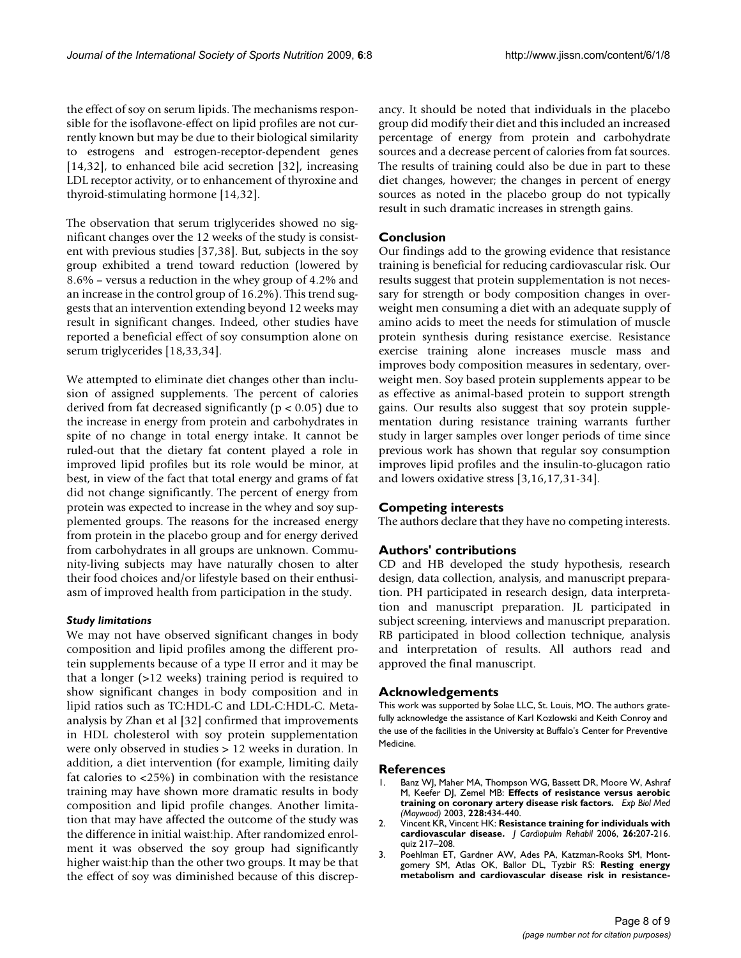the effect of soy on serum lipids. The mechanisms responsible for the isoflavone-effect on lipid profiles are not currently known but may be due to their biological similarity to estrogens and estrogen-receptor-dependent genes [14,32], to enhanced bile acid secretion [32], increasing LDL receptor activity, or to enhancement of thyroxine and thyroid-stimulating hormone [14,32].

The observation that serum triglycerides showed no significant changes over the 12 weeks of the study is consistent with previous studies [37,38]. But, subjects in the soy group exhibited a trend toward reduction (lowered by 8.6% – versus a reduction in the whey group of 4.2% and an increase in the control group of 16.2%). This trend suggests that an intervention extending beyond 12 weeks may result in significant changes. Indeed, other studies have reported a beneficial effect of soy consumption alone on serum triglycerides [18,33,34].

We attempted to eliminate diet changes other than inclusion of assigned supplements. The percent of calories derived from fat decreased significantly ( $p < 0.05$ ) due to the increase in energy from protein and carbohydrates in spite of no change in total energy intake. It cannot be ruled-out that the dietary fat content played a role in improved lipid profiles but its role would be minor, at best, in view of the fact that total energy and grams of fat did not change significantly. The percent of energy from protein was expected to increase in the whey and soy supplemented groups. The reasons for the increased energy from protein in the placebo group and for energy derived from carbohydrates in all groups are unknown. Community-living subjects may have naturally chosen to alter their food choices and/or lifestyle based on their enthusiasm of improved health from participation in the study.

### *Study limitations*

We may not have observed significant changes in body composition and lipid profiles among the different protein supplements because of a type II error and it may be that a longer (>12 weeks) training period is required to show significant changes in body composition and in lipid ratios such as TC:HDL-C and LDL-C:HDL-C. Metaanalysis by Zhan et al [32] confirmed that improvements in HDL cholesterol with soy protein supplementation were only observed in studies > 12 weeks in duration. In addition, a diet intervention (for example, limiting daily fat calories to <25%) in combination with the resistance training may have shown more dramatic results in body composition and lipid profile changes. Another limitation that may have affected the outcome of the study was the difference in initial waist:hip. After randomized enrolment it was observed the soy group had significantly higher waist:hip than the other two groups. It may be that the effect of soy was diminished because of this discrepancy. It should be noted that individuals in the placebo group did modify their diet and this included an increased percentage of energy from protein and carbohydrate sources and a decrease percent of calories from fat sources. The results of training could also be due in part to these diet changes, however; the changes in percent of energy sources as noted in the placebo group do not typically result in such dramatic increases in strength gains.

# **Conclusion**

Our findings add to the growing evidence that resistance training is beneficial for reducing cardiovascular risk. Our results suggest that protein supplementation is not necessary for strength or body composition changes in overweight men consuming a diet with an adequate supply of amino acids to meet the needs for stimulation of muscle protein synthesis during resistance exercise. Resistance exercise training alone increases muscle mass and improves body composition measures in sedentary, overweight men. Soy based protein supplements appear to be as effective as animal-based protein to support strength gains. Our results also suggest that soy protein supplementation during resistance training warrants further study in larger samples over longer periods of time since previous work has shown that regular soy consumption improves lipid profiles and the insulin-to-glucagon ratio and lowers oxidative stress [3,16,17,31-34].

# **Competing interests**

The authors declare that they have no competing interests.

# **Authors' contributions**

CD and HB developed the study hypothesis, research design, data collection, analysis, and manuscript preparation. PH participated in research design, data interpretation and manuscript preparation. JL participated in subject screening, interviews and manuscript preparation. RB participated in blood collection technique, analysis and interpretation of results. All authors read and approved the final manuscript.

### **Acknowledgements**

This work was supported by Solae LLC, St. Louis, MO. The authors gratefully acknowledge the assistance of Karl Kozlowski and Keith Conroy and the use of the facilities in the University at Buffalo's Center for Preventive Medicine.

### **References**

- 1. Banz WJ, Maher MA, Thompson WG, Bassett DR, Moore W, Ashraf M, Keefer DJ, Zemel MB: **[Effects of resistance versus aerobic](http://www.ncbi.nlm.nih.gov/entrez/query.fcgi?cmd=Retrieve&db=PubMed&dopt=Abstract&list_uids=12671188) [training on coronary artery disease risk factors.](http://www.ncbi.nlm.nih.gov/entrez/query.fcgi?cmd=Retrieve&db=PubMed&dopt=Abstract&list_uids=12671188)** *Exp Biol Med (Maywood)* 2003, **228:**434-440.
- 2. Vincent KR, Vincent HK: **[Resistance training for individuals with](http://www.ncbi.nlm.nih.gov/entrez/query.fcgi?cmd=Retrieve&db=PubMed&dopt=Abstract&list_uids=16926683) [cardiovascular disease.](http://www.ncbi.nlm.nih.gov/entrez/query.fcgi?cmd=Retrieve&db=PubMed&dopt=Abstract&list_uids=16926683)** *J Cardiopulm Rehabil* 2006, **26:**207-216. quiz 217–208.
- 3. Poehlman ET, Gardner AW, Ades PA, Katzman-Rooks SM, Montgomery SM, Atlas OK, Ballor DL, Tyzbir RS: **[Resting energy](http://www.ncbi.nlm.nih.gov/entrez/query.fcgi?cmd=Retrieve&db=PubMed&dopt=Abstract&list_uids=1461141) [metabolism and cardiovascular disease risk in resistance](http://www.ncbi.nlm.nih.gov/entrez/query.fcgi?cmd=Retrieve&db=PubMed&dopt=Abstract&list_uids=1461141)-**